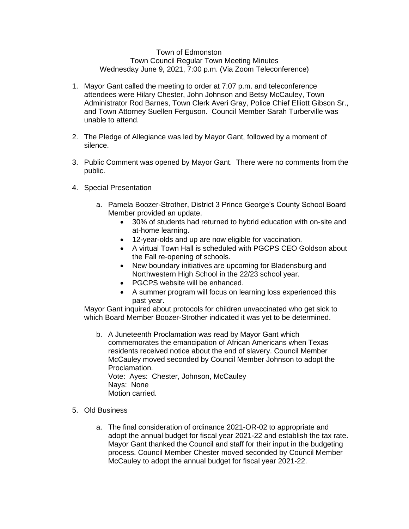## Town of Edmonston Town Council Regular Town Meeting Minutes Wednesday June 9, 2021, 7:00 p.m. (Via Zoom Teleconference)

- 1. Mayor Gant called the meeting to order at 7:07 p.m. and teleconference attendees were Hilary Chester, John Johnson and Betsy McCauley, Town Administrator Rod Barnes, Town Clerk Averi Gray, Police Chief Elliott Gibson Sr., and Town Attorney Suellen Ferguson. Council Member Sarah Turberville was unable to attend.
- 2. The Pledge of Allegiance was led by Mayor Gant, followed by a moment of silence.
- 3. Public Comment was opened by Mayor Gant. There were no comments from the public.
- 4. Special Presentation
	- a. Pamela Boozer-Strother, District 3 Prince George's County School Board Member provided an update.
		- 30% of students had returned to hybrid education with on-site and at-home learning.
		- 12-year-olds and up are now eligible for vaccination.
		- A virtual Town Hall is scheduled with PGCPS CEO Goldson about the Fall re-opening of schools.
		- New boundary initiatives are upcoming for Bladensburg and Northwestern High School in the 22/23 school year.
		- PGCPS website will be enhanced.
		- A summer program will focus on learning loss experienced this past year.

Mayor Gant inquired about protocols for children unvaccinated who get sick to which Board Member Boozer-Strother indicated it was yet to be determined.

- b. A Juneteenth Proclamation was read by Mayor Gant which commemorates the emancipation of African Americans when Texas residents received notice about the end of slavery. Council Member McCauley moved seconded by Council Member Johnson to adopt the Proclamation. Vote: Ayes: Chester, Johnson, McCauley Nays: None Motion carried.
- 5. Old Business
	- a. The final consideration of ordinance 2021-OR-02 to appropriate and adopt the annual budget for fiscal year 2021-22 and establish the tax rate. Mayor Gant thanked the Council and staff for their input in the budgeting process. Council Member Chester moved seconded by Council Member McCauley to adopt the annual budget for fiscal year 2021-22.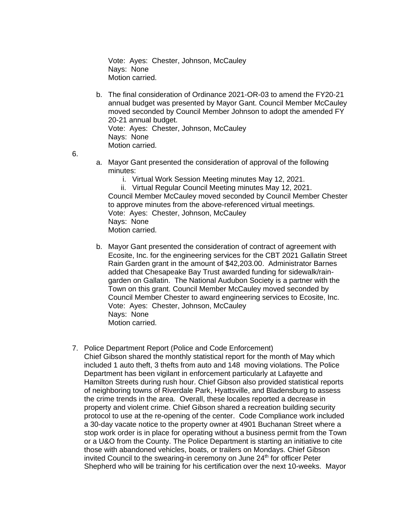Vote: Ayes: Chester, Johnson, McCauley Nays: None Motion carried.

b. The final consideration of Ordinance 2021-OR-03 to amend the FY20-21 annual budget was presented by Mayor Gant. Council Member McCauley moved seconded by Council Member Johnson to adopt the amended FY 20-21 annual budget. Vote: Ayes: Chester, Johnson, McCauley Nays: None Motion carried.

6.

- a. Mayor Gant presented the consideration of approval of the following minutes:
	- i. Virtual Work Session Meeting minutes May 12, 2021.

ii. Virtual Regular Council Meeting minutes May 12, 2021. Council Member McCauley moved seconded by Council Member Chester to approve minutes from the above-referenced virtual meetings. Vote: Ayes: Chester, Johnson, McCauley Nays: None Motion carried.

- b. Mayor Gant presented the consideration of contract of agreement with Ecosite, Inc. for the engineering services for the CBT 2021 Gallatin Street Rain Garden grant in the amount of \$42,203.00. Administrator Barnes added that Chesapeake Bay Trust awarded funding for sidewalk/raingarden on Gallatin. The National Audubon Society is a partner with the Town on this grant. Council Member McCauley moved seconded by Council Member Chester to award engineering services to Ecosite, Inc. Vote: Ayes: Chester, Johnson, McCauley Nays: None Motion carried.
- 7. Police Department Report (Police and Code Enforcement)
	- Chief Gibson shared the monthly statistical report for the month of May which included 1 auto theft, 3 thefts from auto and 148 moving violations. The Police Department has been vigilant in enforcement particularly at Lafayette and Hamilton Streets during rush hour. Chief Gibson also provided statistical reports of neighboring towns of Riverdale Park, Hyattsville, and Bladensburg to assess the crime trends in the area. Overall, these locales reported a decrease in property and violent crime. Chief Gibson shared a recreation building security protocol to use at the re-opening of the center. Code Compliance work included a 30-day vacate notice to the property owner at 4901 Buchanan Street where a stop work order is in place for operating without a business permit from the Town or a U&O from the County. The Police Department is starting an initiative to cite those with abandoned vehicles, boats, or trailers on Mondays. Chief Gibson invited Council to the swearing-in ceremony on June 24<sup>th</sup> for officer Peter Shepherd who will be training for his certification over the next 10-weeks. Mayor